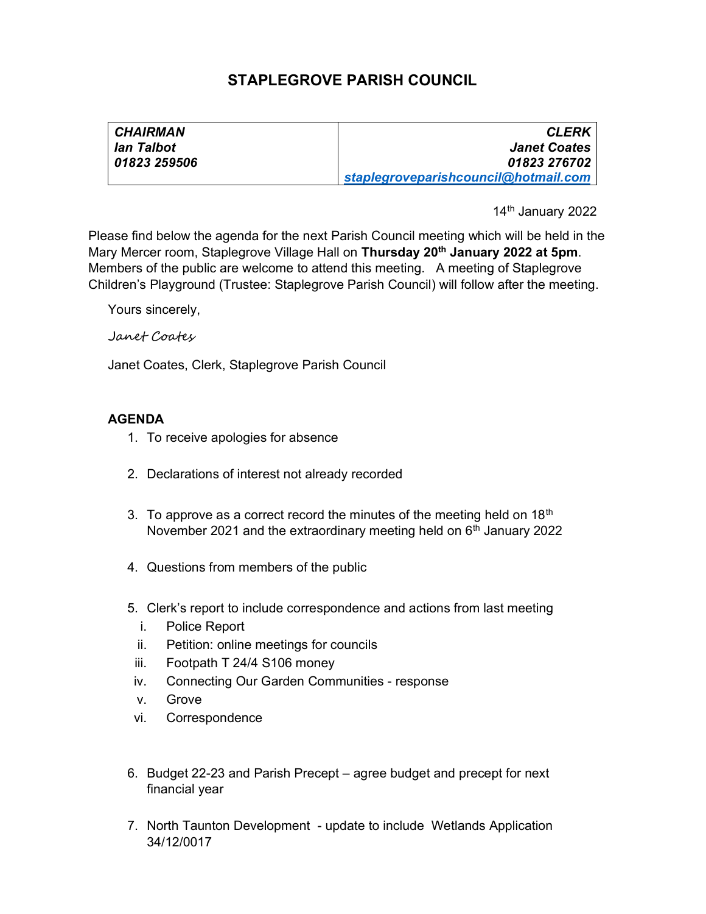# STAPLEGROVE PARISH COUNCIL

| <b>CHAIRMAN</b> | <b>CLERK</b>                         |
|-----------------|--------------------------------------|
| lan Talbot      | <b>Janet Coates</b>                  |
| 01823 259506    | 01823 276702                         |
|                 | staplegroveparishcouncil@hotmail.com |

14th January 2022

Please find below the agenda for the next Parish Council meeting which will be held in the Mary Mercer room, Staplegrove Village Hall on Thursday 20<sup>th</sup> January 2022 at 5pm. Members of the public are welcome to attend this meeting. A meeting of Staplegrove Children's Playground (Trustee: Staplegrove Parish Council) will follow after the meeting.

Yours sincerely,

#### Janet Coates

Janet Coates, Clerk, Staplegrove Parish Council

## AGENDA

- 1. To receive apologies for absence
- 2. Declarations of interest not already recorded
- 3. To approve as a correct record the minutes of the meeting held on  $18<sup>th</sup>$ November 2021 and the extraordinary meeting held on  $6<sup>th</sup>$  January 2022
- 4. Questions from members of the public
- 5. Clerk's report to include correspondence and actions from last meeting
	- i. Police Report
	- ii. Petition: online meetings for councils
- iii. Footpath T 24/4 S106 money
- iv. Connecting Our Garden Communities response
- v. Grove
- vi. Correspondence
- 6. Budget 22-23 and Parish Precept agree budget and precept for next financial year
- 7. North Taunton Development update to include Wetlands Application 34/12/0017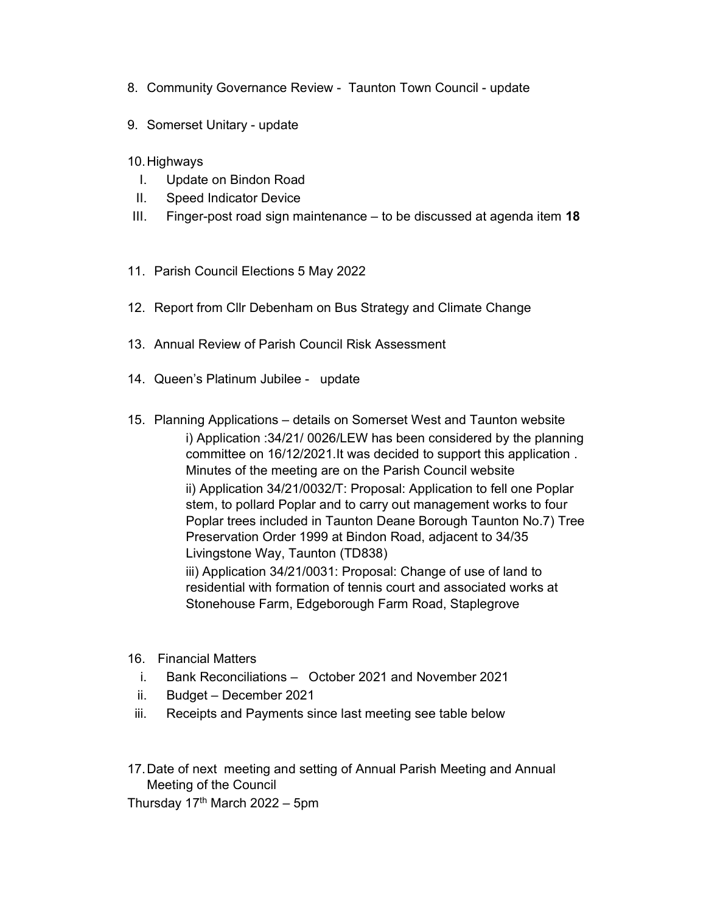- 8. Community Governance Review Taunton Town Council update
- 9. Somerset Unitary update

10. Highways

- I. Update on Bindon Road
- II. Speed Indicator Device
- III. Finger-post road sign maintenance  $-$  to be discussed at agenda item 18
- 11. Parish Council Elections 5 May 2022
- 12. Report from Cllr Debenham on Bus Strategy and Climate Change
- 13. Annual Review of Parish Council Risk Assessment
- 14. Queen's Platinum Jubilee update
- 15. Planning Applications details on Somerset West and Taunton website i) Application :34/21/ 0026/LEW has been considered by the planning committee on 16/12/2021.It was decided to support this application . Minutes of the meeting are on the Parish Council website ii) Application 34/21/0032/T: Proposal: Application to fell one Poplar stem, to pollard Poplar and to carry out management works to four Poplar trees included in Taunton Deane Borough Taunton No.7) Tree Preservation Order 1999 at Bindon Road, adjacent to 34/35 Livingstone Way, Taunton (TD838)

iii) Application 34/21/0031: Proposal: Change of use of land to residential with formation of tennis court and associated works at Stonehouse Farm, Edgeborough Farm Road, Staplegrove

- 16. Financial Matters
	- i. Bank Reconciliations October 2021 and November 2021
	- ii. Budget December 2021
- iii. Receipts and Payments since last meeting see table below

17. Date of next meeting and setting of Annual Parish Meeting and Annual Meeting of the Council

Thursday 17<sup>th</sup> March 2022 – 5pm